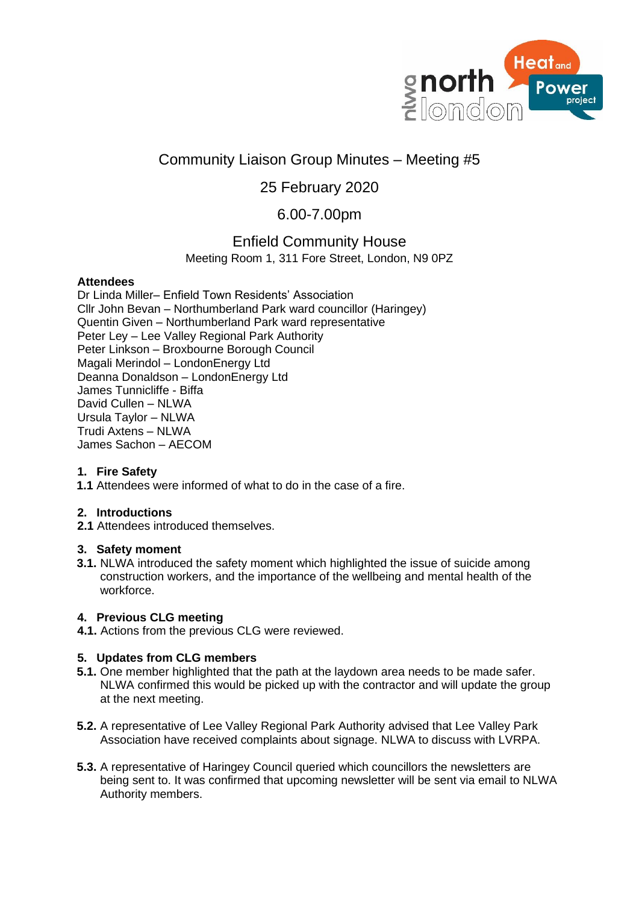

# Community Liaison Group Minutes – Meeting #5

## 25 February 2020

## 6.00-7.00pm

### Enfield Community House

Meeting Room 1, 311 Fore Street, London, N9 0PZ

#### **Attendees**

Dr Linda Miller– Enfield Town Residents' Association Cllr John Bevan – Northumberland Park ward councillor (Haringey) Quentin Given – Northumberland Park ward representative Peter Ley – Lee Valley Regional Park Authority Peter Linkson – Broxbourne Borough Council Magali Merindol – LondonEnergy Ltd Deanna Donaldson – LondonEnergy Ltd James Tunnicliffe - Biffa David Cullen – NLWA Ursula Taylor – NLWA Trudi Axtens – NLWA James Sachon – AECOM

### **1. Fire Safety**

**1.1** Attendees were informed of what to do in the case of a fire.

#### **2. Introductions**

**2.1** Attendees introduced themselves.

#### **3. Safety moment**

**3.1.** NLWA introduced the safety moment which highlighted the issue of suicide among construction workers, and the importance of the wellbeing and mental health of the workforce.

#### **4. Previous CLG meeting**

**4.1.** Actions from the previous CLG were reviewed.

### **5. Updates from CLG members**

- **5.1.** One member highlighted that the path at the laydown area needs to be made safer. NLWA confirmed this would be picked up with the contractor and will update the group at the next meeting.
- **5.2.** A representative of Lee Valley Regional Park Authority advised that Lee Valley Park Association have received complaints about signage. NLWA to discuss with LVRPA.
- **5.3.** A representative of Haringey Council queried which councillors the newsletters are being sent to. It was confirmed that upcoming newsletter will be sent via email to NLWA Authority members.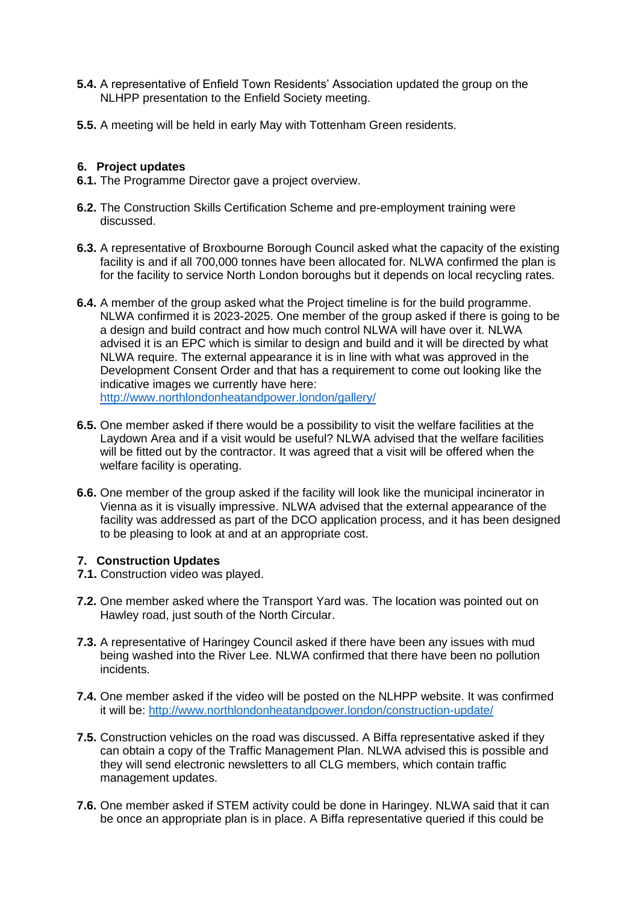- **5.4.** A representative of Enfield Town Residents' Association updated the group on the NLHPP presentation to the Enfield Society meeting.
- **5.5.** A meeting will be held in early May with Tottenham Green residents.

#### **6. Project updates**

**6.1.** The Programme Director gave a project overview.

- **6.2.** The Construction Skills Certification Scheme and pre-employment training were discussed.
- **6.3.** A representative of Broxbourne Borough Council asked what the capacity of the existing facility is and if all 700,000 tonnes have been allocated for. NLWA confirmed the plan is for the facility to service North London boroughs but it depends on local recycling rates.
- **6.4.** A member of the group asked what the Project timeline is for the build programme. NLWA confirmed it is 2023-2025. One member of the group asked if there is going to be a design and build contract and how much control NLWA will have over it. NLWA advised it is an EPC which is similar to design and build and it will be directed by what NLWA require. The external appearance it is in line with what was approved in the Development Consent Order and that has a requirement to come out looking like the indicative images we currently have here: <http://www.northlondonheatandpower.london/gallery/>
- **6.5.** One member asked if there would be a possibility to visit the welfare facilities at the Laydown Area and if a visit would be useful? NLWA advised that the welfare facilities will be fitted out by the contractor. It was agreed that a visit will be offered when the welfare facility is operating.
- **6.6.** One member of the group asked if the facility will look like the municipal incinerator in Vienna as it is visually impressive. NLWA advised that the external appearance of the facility was addressed as part of the DCO application process, and it has been designed to be pleasing to look at and at an appropriate cost.

#### **7. Construction Updates**

- **7.1.** Construction video was played.
- **7.2.** One member asked where the Transport Yard was. The location was pointed out on Hawley road, just south of the North Circular.
- **7.3.** A representative of Haringey Council asked if there have been any issues with mud being washed into the River Lee. NLWA confirmed that there have been no pollution incidents.
- **7.4.** One member asked if the video will be posted on the NLHPP website. It was confirmed it will be:<http://www.northlondonheatandpower.london/construction-update/>
- **7.5.** Construction vehicles on the road was discussed. A Biffa representative asked if they can obtain a copy of the Traffic Management Plan. NLWA advised this is possible and they will send electronic newsletters to all CLG members, which contain traffic management updates.
- **7.6.** One member asked if STEM activity could be done in Haringey. NLWA said that it can be once an appropriate plan is in place. A Biffa representative queried if this could be